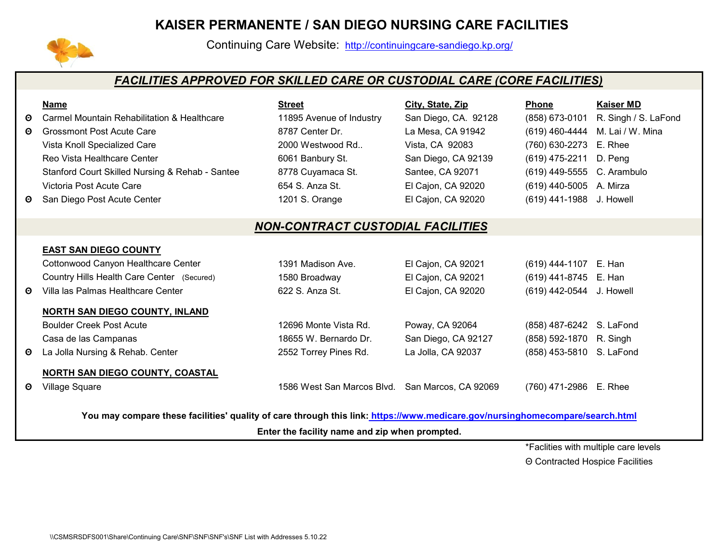## **[KAISER PERMANENTE / SAN](http://continuingcare-sandiego.kp.org/) DIEGO NURSING CARE FACILITIES**



Continuing Care Website: http://continuingcare-sandiego.kp.org/

## *FACILITIES APPROVED FOR SKILLED CARE OR CUSTODIAL CARE (CORE FACILITIES)*

|          | <b>Name</b>                                                                                                                  | <b>Street</b>                                   | City, State, Zip     | <b>Phone</b>               | <b>Kaiser MD</b>                |  |  |  |
|----------|------------------------------------------------------------------------------------------------------------------------------|-------------------------------------------------|----------------------|----------------------------|---------------------------------|--|--|--|
| Θ        | <b>Carmel Mountain Rehabilitation &amp; Healthcare</b>                                                                       | 11895 Avenue of Industry                        | San Diego, CA. 92128 | (858) 673-0101             | R. Singh / S. LaFond            |  |  |  |
| $\Theta$ | <b>Grossmont Post Acute Care</b>                                                                                             | 8787 Center Dr.                                 | La Mesa, CA 91942    |                            | (619) 460-4444 M. Lai / W. Mina |  |  |  |
|          | Vista Knoll Specialized Care                                                                                                 | 2000 Westwood Rd                                | Vista, CA 92083      | (760) 630-2273 E. Rhee     |                                 |  |  |  |
|          | Reo Vista Healthcare Center                                                                                                  | 6061 Banbury St.                                | San Diego, CA 92139  | (619) 475-2211 D. Peng     |                                 |  |  |  |
|          | Stanford Court Skilled Nursing & Rehab - Santee                                                                              | 8778 Cuyamaca St.                               | Santee, CA 92071     | (619) 449-5555 C. Arambulo |                                 |  |  |  |
|          | Victoria Post Acute Care                                                                                                     | 654 S. Anza St.                                 | El Cajon, CA 92020   | (619) 440-5005 A. Mirza    |                                 |  |  |  |
| Θ        | San Diego Post Acute Center                                                                                                  | 1201 S. Orange                                  | El Cajon, CA 92020   | (619) 441-1988             | J. Howell                       |  |  |  |
|          |                                                                                                                              |                                                 |                      |                            |                                 |  |  |  |
|          | <b>NON-CONTRACT CUSTODIAL FACILITIES</b>                                                                                     |                                                 |                      |                            |                                 |  |  |  |
|          | <b>EAST SAN DIEGO COUNTY</b>                                                                                                 |                                                 |                      |                            |                                 |  |  |  |
|          | Cottonwood Canyon Healthcare Center                                                                                          | 1391 Madison Ave.                               |                      |                            |                                 |  |  |  |
|          |                                                                                                                              |                                                 | El Cajon, CA 92021   | (619) 444-1107 E. Han      |                                 |  |  |  |
|          | Country Hills Health Care Center (Secured)                                                                                   | 1580 Broadway                                   | El Cajon, CA 92021   | (619) 441-8745 E. Han      |                                 |  |  |  |
| Θ        | Villa las Palmas Healthcare Center                                                                                           | 622 S. Anza St.                                 | El Cajon, CA 92020   | (619) 442-0544 J. Howell   |                                 |  |  |  |
|          | <b>NORTH SAN DIEGO COUNTY, INLAND</b>                                                                                        |                                                 |                      |                            |                                 |  |  |  |
|          | <b>Boulder Creek Post Acute</b>                                                                                              | 12696 Monte Vista Rd.                           | Poway, CA 92064      | (858) 487-6242 S. LaFond   |                                 |  |  |  |
|          | Casa de las Campanas                                                                                                         | 18655 W. Bernardo Dr.                           | San Diego, CA 92127  | (858) 592-1870 R. Singh    |                                 |  |  |  |
| Θ        | La Jolla Nursing & Rehab. Center                                                                                             | 2552 Torrey Pines Rd.                           | La Jolla, CA 92037   | (858) 453-5810 S. LaFond   |                                 |  |  |  |
|          | <b>NORTH SAN DIEGO COUNTY, COASTAL</b>                                                                                       |                                                 |                      |                            |                                 |  |  |  |
| Θ        | <b>Village Square</b>                                                                                                        | 1586 West San Marcos Blvd. San Marcos, CA 92069 |                      | (760) 471-2986 E. Rhee     |                                 |  |  |  |
|          |                                                                                                                              |                                                 |                      |                            |                                 |  |  |  |
|          | You may compare these facilities' quality of care through this link: https://www.medicare.gov/nursinghomecompare/search.html |                                                 |                      |                            |                                 |  |  |  |

**Enter the facility name and zip when prompted.**

\*Faclities with multiple care levels

Θ Contracted Hospice Facilities